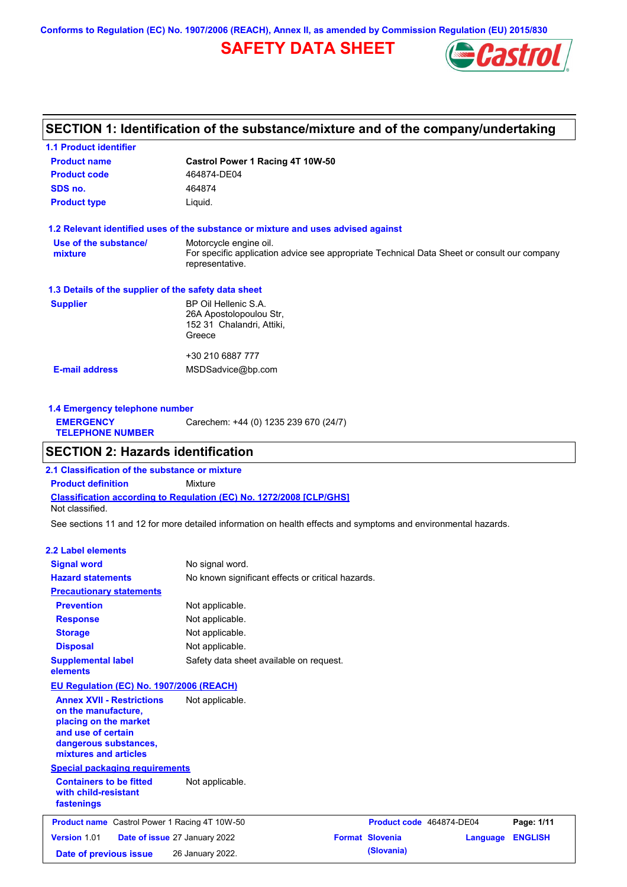**Conforms to Regulation (EC) No. 1907/2006 (REACH), Annex II, as amended by Commission Regulation (EU) 2015/830**

# **SAFETY DATA SHEET**



# **SECTION 1: Identification of the substance/mixture and of the company/undertaking**

| Castrol Power 1 Racing 4T 10W-50                                                                               |
|----------------------------------------------------------------------------------------------------------------|
| 464874-DE04                                                                                                    |
| 464874                                                                                                         |
| Liquid.                                                                                                        |
| 1.2 Relevant identified uses of the substance or mixture and uses advised against                              |
| Motorcycle engine oil.                                                                                         |
| For specific application advice see appropriate Technical Data Sheet or consult our company<br>representative. |
| 1.3 Details of the supplier of the safety data sheet                                                           |
| BP Oil Hellenic S.A.                                                                                           |
| 26A Apostolopoulou Str,                                                                                        |
| 152 31 Chalandri, Attiki,                                                                                      |
| Greece                                                                                                         |
| +30 210 6887 777                                                                                               |
| MSDSadvice@bp.com                                                                                              |
|                                                                                                                |
|                                                                                                                |

| Carechem: +44 (0) 1235 239 670 (24/7)<br><b>EMERGENCY</b><br><b>TELEPHONE NUMBER</b> | 1.4 Emergency telephone number |  |  |  |  |
|--------------------------------------------------------------------------------------|--------------------------------|--|--|--|--|
|                                                                                      |                                |  |  |  |  |

# **SECTION 2: Hazards identification**

**Classification according to Regulation (EC) No. 1272/2008 [CLP/GHS] 2.1 Classification of the substance or mixture Product definition** Mixture Not classified.

See sections 11 and 12 for more detailed information on health effects and symptoms and environmental hazards.

### **2.2 Label elements**

| <b>Signal word</b><br><b>Hazard statements</b>                                                                                                           | No signal word.<br>No known significant effects or critical hazards. |                          |          |                |
|----------------------------------------------------------------------------------------------------------------------------------------------------------|----------------------------------------------------------------------|--------------------------|----------|----------------|
| <b>Precautionary statements</b>                                                                                                                          |                                                                      |                          |          |                |
| <b>Prevention</b>                                                                                                                                        | Not applicable.                                                      |                          |          |                |
| <b>Response</b>                                                                                                                                          | Not applicable.                                                      |                          |          |                |
| <b>Storage</b>                                                                                                                                           | Not applicable.                                                      |                          |          |                |
| <b>Disposal</b>                                                                                                                                          | Not applicable.                                                      |                          |          |                |
| <b>Supplemental label</b><br>elements                                                                                                                    | Safety data sheet available on request.                              |                          |          |                |
| <b>EU Regulation (EC) No. 1907/2006 (REACH)</b>                                                                                                          |                                                                      |                          |          |                |
| <b>Annex XVII - Restrictions</b><br>on the manufacture,<br>placing on the market<br>and use of certain<br>dangerous substances,<br>mixtures and articles | Not applicable.                                                      |                          |          |                |
| <b>Special packaging requirements</b>                                                                                                                    |                                                                      |                          |          |                |
| <b>Containers to be fitted</b><br>with child-resistant<br>fastenings                                                                                     | Not applicable.                                                      |                          |          |                |
| <b>Product name</b> Castrol Power 1 Racing 4T 10W-50                                                                                                     |                                                                      | Product code 464874-DE04 |          | Page: 1/11     |
| Version 1.01                                                                                                                                             | Date of issue 27 January 2022                                        | <b>Format Slovenia</b>   | Language | <b>ENGLISH</b> |
| Date of previous issue                                                                                                                                   | 26 January 2022.                                                     | (Slovania)               |          |                |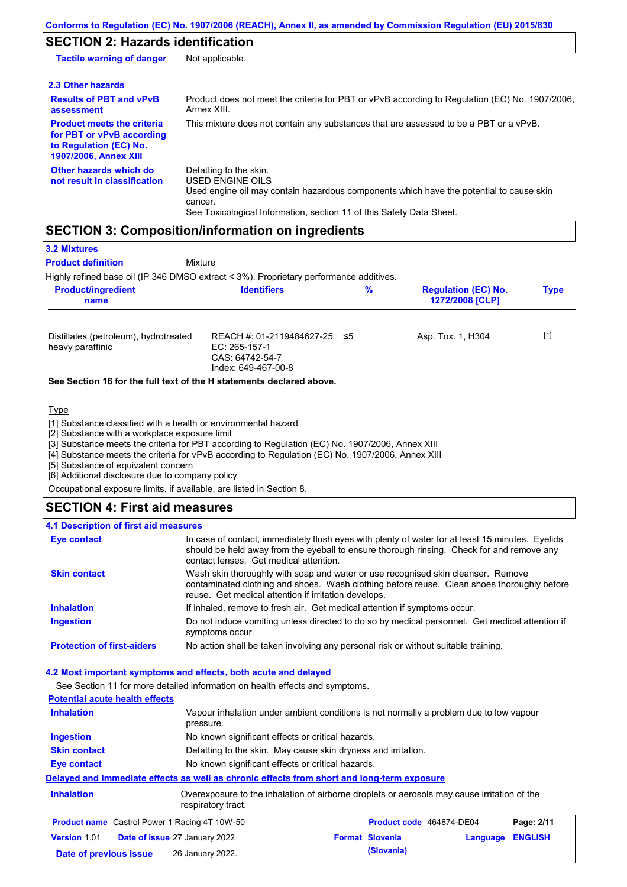# **SECTION 2: Hazards identification**

| <b>Tactile warning of danger</b>                                                                                         | Not applicable.                                                                                                                                                                                                                 |
|--------------------------------------------------------------------------------------------------------------------------|---------------------------------------------------------------------------------------------------------------------------------------------------------------------------------------------------------------------------------|
| 2.3 Other hazards                                                                                                        |                                                                                                                                                                                                                                 |
| <b>Results of PBT and vPvB</b><br>assessment                                                                             | Product does not meet the criteria for PBT or vPvB according to Regulation (EC) No. 1907/2006,<br>Annex XIII.                                                                                                                   |
| <b>Product meets the criteria</b><br>for PBT or vPvB according<br>to Regulation (EC) No.<br><b>1907/2006, Annex XIII</b> | This mixture does not contain any substances that are assessed to be a PBT or a vPvB.                                                                                                                                           |
| Other hazards which do<br>not result in classification                                                                   | Defatting to the skin.<br><b>USED ENGINE OILS</b><br>Used engine oil may contain hazardous components which have the potential to cause skin<br>cancer.<br>See Toxicological Information, section 11 of this Safety Data Sheet. |

# **SECTION 3: Composition/information on ingredients**

| <b>3.2 Mixtures</b>       |                                                                                            |  |
|---------------------------|--------------------------------------------------------------------------------------------|--|
| <b>Product definition</b> | Mixture                                                                                    |  |
|                           | Highly refined hase oil (IP 346 DMSO extract $\lt 3\%$ ) Proprietary performance additives |  |

| <b>Product/ingredient</b>                                 | %                                                                                       |  | <b>Regulation (EC) No.</b> |       |
|-----------------------------------------------------------|-----------------------------------------------------------------------------------------|--|----------------------------|-------|
| name                                                      | <b>Identifiers</b>                                                                      |  | 1272/2008 [CLP]            |       |
| Distillates (petroleum), hydrotreated<br>heavy paraffinic | REACH #: 01-2119484627-25 ≤5<br>EC: 265-157-1<br>CAS: 64742-54-7<br>Index: 649-467-00-8 |  | Asp. Tox. 1, H304          | $[1]$ |

#### **See Section 16 for the full text of the H statements declared above.**

**Type** 

[1] Substance classified with a health or environmental hazard

[2] Substance with a workplace exposure limit

[3] Substance meets the criteria for PBT according to Regulation (EC) No. 1907/2006, Annex XIII

[4] Substance meets the criteria for vPvB according to Regulation (EC) No. 1907/2006, Annex XIII

[5] Substance of equivalent concern

[6] Additional disclosure due to company policy

Occupational exposure limits, if available, are listed in Section 8.

# **SECTION 4: First aid measures**

### **4.1 Description of first aid measures**

| Eye contact                       | In case of contact, immediately flush eyes with plenty of water for at least 15 minutes. Eyelids<br>should be held away from the eyeball to ensure thorough rinsing. Check for and remove any<br>contact lenses. Get medical attention. |
|-----------------------------------|-----------------------------------------------------------------------------------------------------------------------------------------------------------------------------------------------------------------------------------------|
| <b>Skin contact</b>               | Wash skin thoroughly with soap and water or use recognised skin cleanser. Remove<br>contaminated clothing and shoes. Wash clothing before reuse. Clean shoes thoroughly before<br>reuse. Get medical attention if irritation develops.  |
| <b>Inhalation</b>                 | If inhaled, remove to fresh air. Get medical attention if symptoms occur.                                                                                                                                                               |
| <b>Ingestion</b>                  | Do not induce vomiting unless directed to do so by medical personnel. Get medical attention if<br>symptoms occur.                                                                                                                       |
| <b>Protection of first-aiders</b> | No action shall be taken involving any personal risk or without suitable training.                                                                                                                                                      |

### **4.2 Most important symptoms and effects, both acute and delayed**

See Section 11 for more detailed information on health effects and symptoms.

| <b>Potential acute health effects</b> |                                                                                                     |
|---------------------------------------|-----------------------------------------------------------------------------------------------------|
| <b>Inhalation</b>                     | Vapour inhalation under ambient conditions is not normally a problem due to low vapour<br>pressure. |
| <b>Ingestion</b>                      | No known significant effects or critical hazards.                                                   |
| <b>Skin contact</b>                   | Defatting to the skin. May cause skin dryness and irritation.                                       |

### **Eye contact** No known significant effects or critical hazards. **Delayed and immediate effects as well as chronic effects from short and long-term exposure**

| Overexposure to the inhalation of airborne droplets or aerosols may cause irritation of the<br><b>Inhalation</b><br>respiratory tract. |  |                                                      |                        |                          |            |
|----------------------------------------------------------------------------------------------------------------------------------------|--|------------------------------------------------------|------------------------|--------------------------|------------|
|                                                                                                                                        |  | <b>Product name</b> Castrol Power 1 Racing 4T 10W-50 |                        | Product code 464874-DE04 | Page: 2/11 |
| <b>Version 1.01</b>                                                                                                                    |  | <b>Date of issue 27 January 2022</b>                 | <b>Format Slovenia</b> | Language ENGLISH         |            |
| Date of previous issue                                                                                                                 |  | 26 January 2022.                                     | (Slovania)             |                          |            |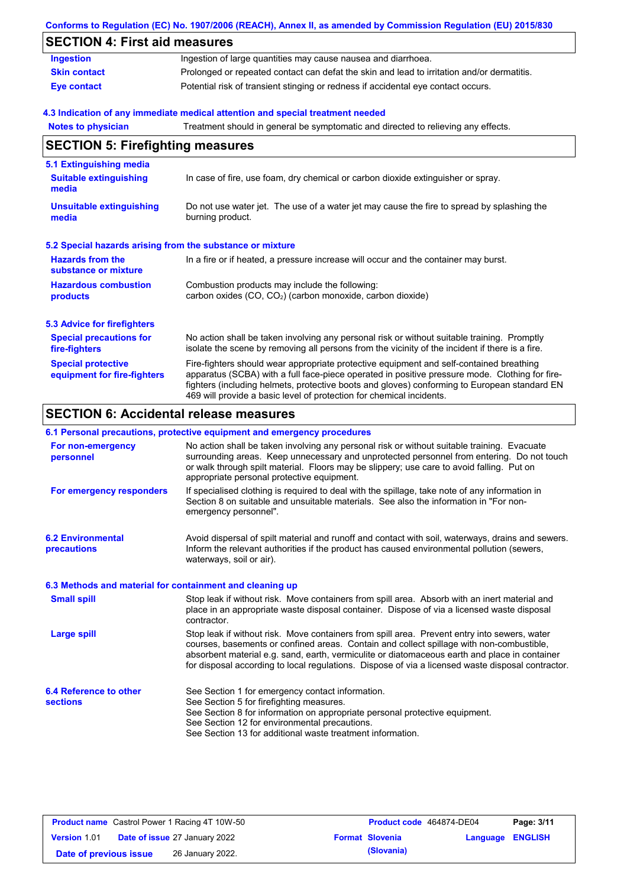|                                                           | Conforms to Regulation (EC) No. 1907/2006 (REACH), Annex II, as amended by Commission Regulation (EU) 2015/830                                                                                                                                                                                                                                                    |
|-----------------------------------------------------------|-------------------------------------------------------------------------------------------------------------------------------------------------------------------------------------------------------------------------------------------------------------------------------------------------------------------------------------------------------------------|
| <b>SECTION 4: First aid measures</b>                      |                                                                                                                                                                                                                                                                                                                                                                   |
| <b>Ingestion</b>                                          | Ingestion of large quantities may cause nausea and diarrhoea.                                                                                                                                                                                                                                                                                                     |
| <b>Skin contact</b>                                       | Prolonged or repeated contact can defat the skin and lead to irritation and/or dermatitis.                                                                                                                                                                                                                                                                        |
| <b>Eye contact</b>                                        | Potential risk of transient stinging or redness if accidental eye contact occurs.                                                                                                                                                                                                                                                                                 |
|                                                           | 4.3 Indication of any immediate medical attention and special treatment needed                                                                                                                                                                                                                                                                                    |
| <b>Notes to physician</b>                                 | Treatment should in general be symptomatic and directed to relieving any effects.                                                                                                                                                                                                                                                                                 |
| <b>SECTION 5: Firefighting measures</b>                   |                                                                                                                                                                                                                                                                                                                                                                   |
| 5.1 Extinguishing media                                   |                                                                                                                                                                                                                                                                                                                                                                   |
| <b>Suitable extinguishing</b><br>media                    | In case of fire, use foam, dry chemical or carbon dioxide extinguisher or spray.                                                                                                                                                                                                                                                                                  |
| <b>Unsuitable extinguishing</b><br>media                  | Do not use water jet. The use of a water jet may cause the fire to spread by splashing the<br>burning product.                                                                                                                                                                                                                                                    |
| 5.2 Special hazards arising from the substance or mixture |                                                                                                                                                                                                                                                                                                                                                                   |
| <b>Hazards from the</b><br>substance or mixture           | In a fire or if heated, a pressure increase will occur and the container may burst.                                                                                                                                                                                                                                                                               |
| <b>Hazardous combustion</b><br>products                   | Combustion products may include the following:<br>carbon oxides (CO, CO <sub>2</sub> ) (carbon monoxide, carbon dioxide)                                                                                                                                                                                                                                          |
| <b>5.3 Advice for firefighters</b>                        |                                                                                                                                                                                                                                                                                                                                                                   |
| <b>Special precautions for</b><br>fire-fighters           | No action shall be taken involving any personal risk or without suitable training. Promptly<br>isolate the scene by removing all persons from the vicinity of the incident if there is a fire.                                                                                                                                                                    |
| <b>Special protective</b><br>equipment for fire-fighters  | Fire-fighters should wear appropriate protective equipment and self-contained breathing<br>apparatus (SCBA) with a full face-piece operated in positive pressure mode. Clothing for fire-<br>fighters (including helmets, protective boots and gloves) conforming to European standard EN<br>469 will provide a basic level of protection for chemical incidents. |

# **SECTION 6: Accidental release measures**

### **6.1 Personal precautions, protective equipment and emergency procedures**

| No action shall be taken involving any personal risk or without suitable training. Evacuate<br>surrounding areas. Keep unnecessary and unprotected personnel from entering. Do not touch<br>or walk through spilt material. Floors may be slippery; use care to avoid falling. Put on<br>appropriate personal protective equipment.                                                            |
|------------------------------------------------------------------------------------------------------------------------------------------------------------------------------------------------------------------------------------------------------------------------------------------------------------------------------------------------------------------------------------------------|
| If specialised clothing is required to deal with the spillage, take note of any information in<br>Section 8 on suitable and unsuitable materials. See also the information in "For non-<br>emergency personnel".                                                                                                                                                                               |
| Avoid dispersal of spilt material and runoff and contact with soil, waterways, drains and sewers.<br>Inform the relevant authorities if the product has caused environmental pollution (sewers,<br>waterways, soil or air).                                                                                                                                                                    |
| 6.3 Methods and material for containment and cleaning up                                                                                                                                                                                                                                                                                                                                       |
| Stop leak if without risk. Move containers from spill area. Absorb with an inert material and<br>place in an appropriate waste disposal container. Dispose of via a licensed waste disposal<br>contractor.                                                                                                                                                                                     |
| Stop leak if without risk. Move containers from spill area. Prevent entry into sewers, water<br>courses, basements or confined areas. Contain and collect spillage with non-combustible,<br>absorbent material e.g. sand, earth, vermiculite or diatomaceous earth and place in container<br>for disposal according to local regulations. Dispose of via a licensed waste disposal contractor. |
| See Section 1 for emergency contact information.                                                                                                                                                                                                                                                                                                                                               |
| See Section 5 for firefighting measures.<br>See Section 8 for information on appropriate personal protective equipment.<br>See Section 12 for environmental precautions.<br>See Section 13 for additional waste treatment information.                                                                                                                                                         |
|                                                                                                                                                                                                                                                                                                                                                                                                |

| <b>Product name</b> Castrol Power 1 Racing 4T 10W-50 |                                      | Product code 464874-DE04 |                        | Page: 3/11       |  |
|------------------------------------------------------|--------------------------------------|--------------------------|------------------------|------------------|--|
| <b>Version 1.01</b>                                  | <b>Date of issue 27 January 2022</b> |                          | <b>Format Slovenia</b> | Language ENGLISH |  |
| Date of previous issue                               | 26 January 2022.                     |                          | (Slovania)             |                  |  |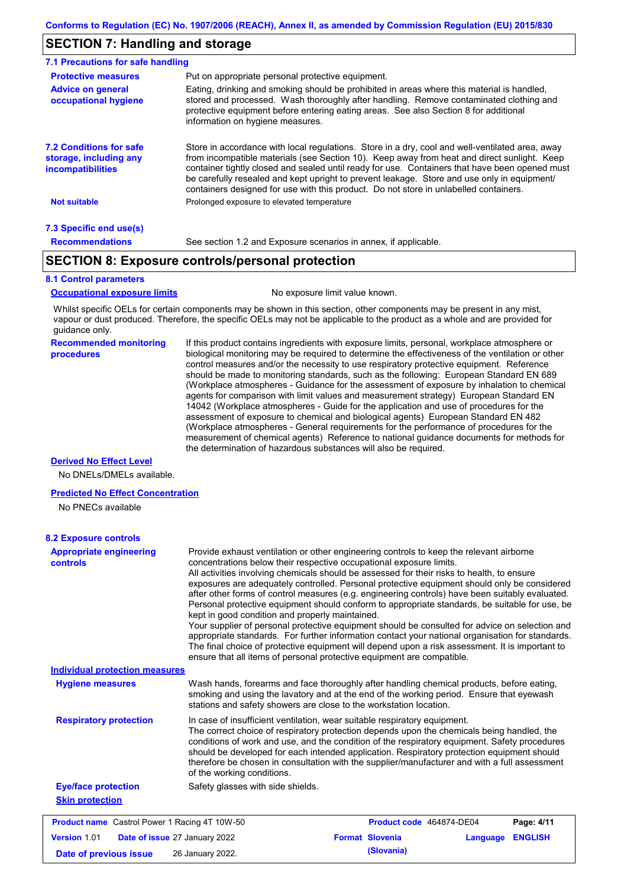# **SECTION 7: Handling and storage**

| 7.1 Precautions for safe handling                                             |                                                                                                                                                                                                                                                                                                                                                                                                                                                                                          |  |  |  |  |  |
|-------------------------------------------------------------------------------|------------------------------------------------------------------------------------------------------------------------------------------------------------------------------------------------------------------------------------------------------------------------------------------------------------------------------------------------------------------------------------------------------------------------------------------------------------------------------------------|--|--|--|--|--|
| <b>Protective measures</b>                                                    | Put on appropriate personal protective equipment.                                                                                                                                                                                                                                                                                                                                                                                                                                        |  |  |  |  |  |
| <b>Advice on general</b><br>occupational hygiene                              | Eating, drinking and smoking should be prohibited in areas where this material is handled,<br>stored and processed. Wash thoroughly after handling. Remove contaminated clothing and<br>protective equipment before entering eating areas. See also Section 8 for additional<br>information on hygiene measures.                                                                                                                                                                         |  |  |  |  |  |
| <b>7.2 Conditions for safe</b><br>storage, including any<br>incompatibilities | Store in accordance with local requlations. Store in a dry, cool and well-ventilated area, away<br>from incompatible materials (see Section 10). Keep away from heat and direct sunlight. Keep<br>container tightly closed and sealed until ready for use. Containers that have been opened must<br>be carefully resealed and kept upright to prevent leakage. Store and use only in equipment/<br>containers designed for use with this product. Do not store in unlabelled containers. |  |  |  |  |  |
| <b>Not suitable</b>                                                           | Prolonged exposure to elevated temperature                                                                                                                                                                                                                                                                                                                                                                                                                                               |  |  |  |  |  |
| 7.3 Specific end use(s)                                                       |                                                                                                                                                                                                                                                                                                                                                                                                                                                                                          |  |  |  |  |  |
| <b>Recommendations</b>                                                        | See section 1.2 and Exposure scenarios in annex, if applicable.                                                                                                                                                                                                                                                                                                                                                                                                                          |  |  |  |  |  |

## **SECTION 8: Exposure controls/personal protection**

#### **8.1 Control parameters**

**Occupational exposure limits** No exposure limit value known.

Whilst specific OELs for certain components may be shown in this section, other components may be present in any mist, vapour or dust produced. Therefore, the specific OELs may not be applicable to the product as a whole and are provided for guidance only.

#### **Recommended monitoring procedures**

If this product contains ingredients with exposure limits, personal, workplace atmosphere or biological monitoring may be required to determine the effectiveness of the ventilation or other control measures and/or the necessity to use respiratory protective equipment. Reference should be made to monitoring standards, such as the following: European Standard EN 689 (Workplace atmospheres - Guidance for the assessment of exposure by inhalation to chemical agents for comparison with limit values and measurement strategy) European Standard EN 14042 (Workplace atmospheres - Guide for the application and use of procedures for the assessment of exposure to chemical and biological agents) European Standard EN 482 (Workplace atmospheres - General requirements for the performance of procedures for the measurement of chemical agents) Reference to national guidance documents for methods for the determination of hazardous substances will also be required.

### **Derived No Effect Level**

No DNELs/DMELs available.

#### **Predicted No Effect Concentration**

No PNECs available

| <b>Appropriate engineering</b><br>controls           | Provide exhaust ventilation or other engineering controls to keep the relevant airborne<br>concentrations below their respective occupational exposure limits.<br>All activities involving chemicals should be assessed for their risks to health, to ensure<br>exposures are adequately controlled. Personal protective equipment should only be considered<br>after other forms of control measures (e.g. engineering controls) have been suitably evaluated.<br>Personal protective equipment should conform to appropriate standards, be suitable for use, be<br>kept in good condition and properly maintained.<br>Your supplier of personal protective equipment should be consulted for advice on selection and<br>appropriate standards. For further information contact your national organisation for standards.<br>The final choice of protective equipment will depend upon a risk assessment. It is important to<br>ensure that all items of personal protective equipment are compatible. |
|------------------------------------------------------|---------------------------------------------------------------------------------------------------------------------------------------------------------------------------------------------------------------------------------------------------------------------------------------------------------------------------------------------------------------------------------------------------------------------------------------------------------------------------------------------------------------------------------------------------------------------------------------------------------------------------------------------------------------------------------------------------------------------------------------------------------------------------------------------------------------------------------------------------------------------------------------------------------------------------------------------------------------------------------------------------------|
| <b>Individual protection measures</b>                |                                                                                                                                                                                                                                                                                                                                                                                                                                                                                                                                                                                                                                                                                                                                                                                                                                                                                                                                                                                                         |
| <b>Hygiene measures</b>                              | Wash hands, forearms and face thoroughly after handling chemical products, before eating,<br>smoking and using the lavatory and at the end of the working period. Ensure that eyewash<br>stations and safety showers are close to the workstation location.                                                                                                                                                                                                                                                                                                                                                                                                                                                                                                                                                                                                                                                                                                                                             |
| <b>Respiratory protection</b>                        | In case of insufficient ventilation, wear suitable respiratory equipment.<br>The correct choice of respiratory protection depends upon the chemicals being handled, the<br>conditions of work and use, and the condition of the respiratory equipment. Safety procedures<br>should be developed for each intended application. Respiratory protection equipment should<br>therefore be chosen in consultation with the supplier/manufacturer and with a full assessment<br>of the working conditions.                                                                                                                                                                                                                                                                                                                                                                                                                                                                                                   |
| <b>Eye/face protection</b>                           | Safety glasses with side shields.                                                                                                                                                                                                                                                                                                                                                                                                                                                                                                                                                                                                                                                                                                                                                                                                                                                                                                                                                                       |
| <b>Skin protection</b>                               |                                                                                                                                                                                                                                                                                                                                                                                                                                                                                                                                                                                                                                                                                                                                                                                                                                                                                                                                                                                                         |
| <b>Product name</b> Castrol Power 1 Racing 4T 10W-50 | Product code 464874-DE04<br>Page: 4/11                                                                                                                                                                                                                                                                                                                                                                                                                                                                                                                                                                                                                                                                                                                                                                                                                                                                                                                                                                  |
| <b>Version 1.01</b>                                  | <b>Format Slovenia</b><br><b>ENGLISH</b><br>Date of issue 27 January 2022<br>Language                                                                                                                                                                                                                                                                                                                                                                                                                                                                                                                                                                                                                                                                                                                                                                                                                                                                                                                   |
| Date of previous issue                               | (Slovania)<br>26 January 2022.                                                                                                                                                                                                                                                                                                                                                                                                                                                                                                                                                                                                                                                                                                                                                                                                                                                                                                                                                                          |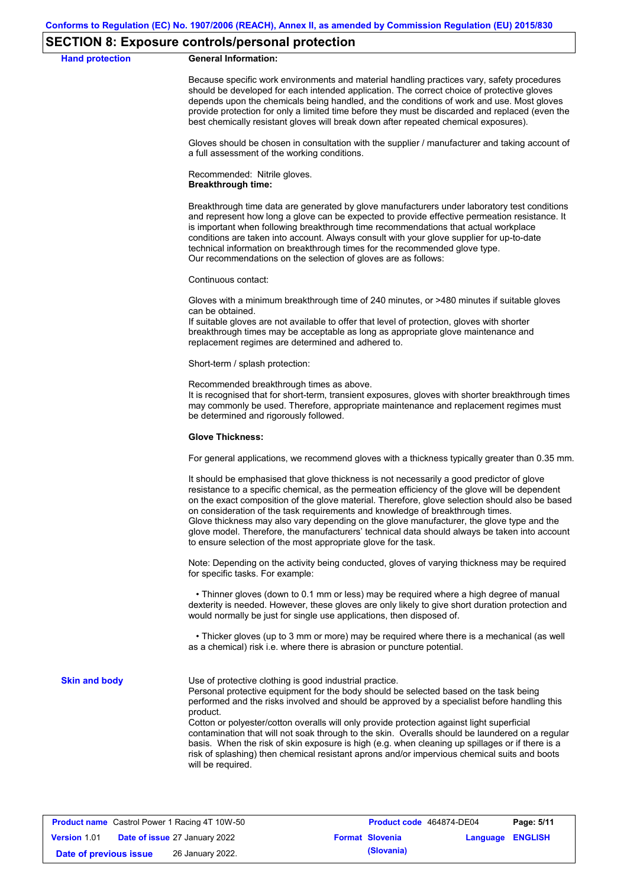### **SECTION 8: Exposure controls/personal protection**

**Hand protection** 

| <b>General Information:</b> |
|-----------------------------|
|-----------------------------|

Because specific work environments and material handling practices vary, safety procedures should be developed for each intended application. The correct choice of protective gloves depends upon the chemicals being handled, and the conditions of work and use. Most gloves provide protection for only a limited time before they must be discarded and replaced (even the best chemically resistant gloves will break down after repeated chemical exposures).

Gloves should be chosen in consultation with the supplier / manufacturer and taking account of a full assessment of the working conditions.

Recommended: Nitrile gloves. **Breakthrough time:**

Breakthrough time data are generated by glove manufacturers under laboratory test conditions and represent how long a glove can be expected to provide effective permeation resistance. It is important when following breakthrough time recommendations that actual workplace conditions are taken into account. Always consult with your glove supplier for up-to-date technical information on breakthrough times for the recommended glove type. Our recommendations on the selection of gloves are as follows:

Continuous contact:

Gloves with a minimum breakthrough time of 240 minutes, or >480 minutes if suitable gloves can be obtained.

If suitable gloves are not available to offer that level of protection, gloves with shorter breakthrough times may be acceptable as long as appropriate glove maintenance and replacement regimes are determined and adhered to.

Short-term / splash protection:

Recommended breakthrough times as above.

It is recognised that for short-term, transient exposures, gloves with shorter breakthrough times may commonly be used. Therefore, appropriate maintenance and replacement regimes must be determined and rigorously followed.

#### **Glove Thickness:**

For general applications, we recommend gloves with a thickness typically greater than 0.35 mm.

It should be emphasised that glove thickness is not necessarily a good predictor of glove resistance to a specific chemical, as the permeation efficiency of the glove will be dependent on the exact composition of the glove material. Therefore, glove selection should also be based on consideration of the task requirements and knowledge of breakthrough times. Glove thickness may also vary depending on the glove manufacturer, the glove type and the glove model. Therefore, the manufacturers' technical data should always be taken into account to ensure selection of the most appropriate glove for the task.

Note: Depending on the activity being conducted, gloves of varying thickness may be required for specific tasks. For example:

 • Thinner gloves (down to 0.1 mm or less) may be required where a high degree of manual dexterity is needed. However, these gloves are only likely to give short duration protection and would normally be just for single use applications, then disposed of.

 • Thicker gloves (up to 3 mm or more) may be required where there is a mechanical (as well as a chemical) risk i.e. where there is abrasion or puncture potential.

**Skin and body**

Use of protective clothing is good industrial practice.

Personal protective equipment for the body should be selected based on the task being performed and the risks involved and should be approved by a specialist before handling this product.

Cotton or polyester/cotton overalls will only provide protection against light superficial contamination that will not soak through to the skin. Overalls should be laundered on a regular basis. When the risk of skin exposure is high (e.g. when cleaning up spillages or if there is a risk of splashing) then chemical resistant aprons and/or impervious chemical suits and boots will be required.

| <b>Product name</b> Castrol Power 1 Racing 4T 10W-50 |  |                                      | Product code 464874-DE04 | Page: 5/11             |                         |  |
|------------------------------------------------------|--|--------------------------------------|--------------------------|------------------------|-------------------------|--|
| <b>Version 1.01</b>                                  |  | <b>Date of issue 27 January 2022</b> |                          | <b>Format Slovenia</b> | <b>Language ENGLISH</b> |  |
| Date of previous issue                               |  | 26 January 2022.                     |                          | (Slovania)             |                         |  |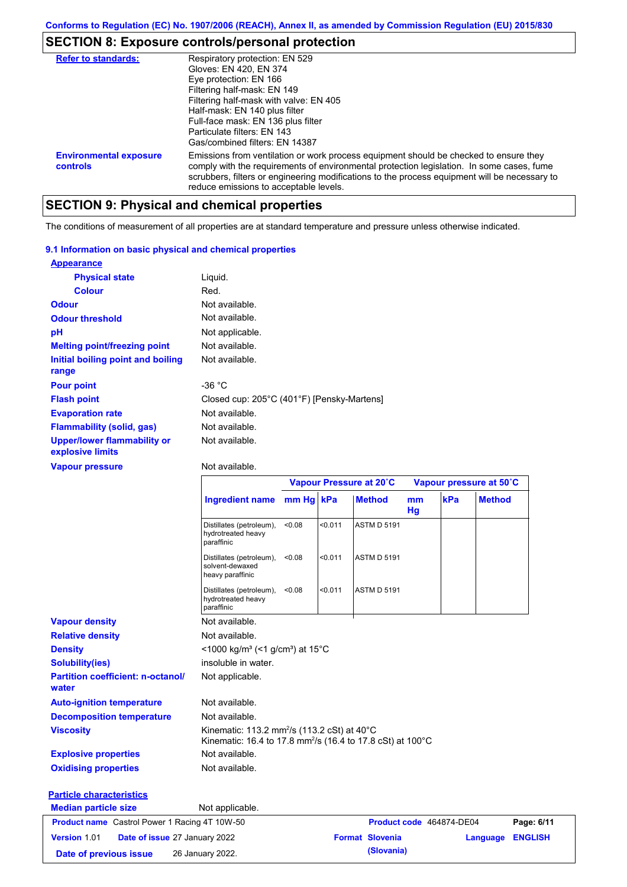# **SECTION 8: Exposure controls/personal protection**

| <b>Refer to standards:</b>                | Respiratory protection: EN 529<br>Gloves: EN 420, EN 374<br>Eye protection: EN 166<br>Filtering half-mask: EN 149<br>Filtering half-mask with valve: EN 405<br>Half-mask: EN 140 plus filter<br>Full-face mask: EN 136 plus filter<br>Particulate filters: FN 143<br>Gas/combined filters: EN 14387                           |
|-------------------------------------------|-------------------------------------------------------------------------------------------------------------------------------------------------------------------------------------------------------------------------------------------------------------------------------------------------------------------------------|
| <b>Environmental exposure</b><br>controls | Emissions from ventilation or work process equipment should be checked to ensure they<br>comply with the requirements of environmental protection legislation. In some cases, fume<br>scrubbers, filters or engineering modifications to the process equipment will be necessary to<br>reduce emissions to acceptable levels. |

# **SECTION 9: Physical and chemical properties**

The conditions of measurement of all properties are at standard temperature and pressure unless otherwise indicated.

### **9.1 Information on basic physical and chemical properties**

| <b>Appearance</b>                                      |                                            |
|--------------------------------------------------------|--------------------------------------------|
| <b>Physical state</b>                                  | Liquid.                                    |
| <b>Colour</b>                                          | Red.                                       |
| <b>Odour</b>                                           | Not available.                             |
| <b>Odour threshold</b>                                 | Not available.                             |
| рH                                                     | Not applicable.                            |
| <b>Melting point/freezing point</b>                    | Not available.                             |
| Initial boiling point and boiling<br>range             | Not available.                             |
| <b>Pour point</b>                                      | -36 $^{\circ}$ C                           |
| <b>Flash point</b>                                     | Closed cup: 205°C (401°F) [Pensky-Martens] |
| <b>Evaporation rate</b>                                | Not available.                             |
| <b>Flammability (solid, gas)</b>                       | Not available.                             |
| <b>Upper/lower flammability or</b><br>explosive limits | Not available.                             |

### **Vapour pressure**

Not available.

|                                                      |                                                                                                                                    |        |            | Vapour Pressure at 20°C |          | Vapour pressure at 50°C  |               |                |
|------------------------------------------------------|------------------------------------------------------------------------------------------------------------------------------------|--------|------------|-------------------------|----------|--------------------------|---------------|----------------|
|                                                      | Ingredient name mm Hg kPa                                                                                                          |        |            | <b>Method</b>           | mm<br>Hg | kPa                      | <b>Method</b> |                |
|                                                      | Distillates (petroleum),<br>hydrotreated heavy<br>paraffinic                                                                       | < 0.08 | < 0.011    | <b>ASTM D 5191</b>      |          |                          |               |                |
|                                                      | Distillates (petroleum),<br>solvent-dewaxed<br>heavy paraffinic                                                                    | < 0.08 | < 0.011    | <b>ASTM D 5191</b>      |          |                          |               |                |
|                                                      | Distillates (petroleum),<br>hydrotreated heavy<br>paraffinic                                                                       | < 0.08 | < 0.011    | <b>ASTM D 5191</b>      |          |                          |               |                |
| <b>Vapour density</b>                                | Not available.                                                                                                                     |        |            |                         |          |                          |               |                |
| <b>Relative density</b>                              | Not available.                                                                                                                     |        |            |                         |          |                          |               |                |
| <b>Density</b>                                       | <1000 kg/m <sup>3</sup> (<1 g/cm <sup>3</sup> ) at 15 <sup>°</sup> C                                                               |        |            |                         |          |                          |               |                |
| <b>Solubility(ies)</b>                               | insoluble in water.                                                                                                                |        |            |                         |          |                          |               |                |
| <b>Partition coefficient: n-octanol/</b><br>water    | Not applicable.                                                                                                                    |        |            |                         |          |                          |               |                |
| <b>Auto-ignition temperature</b>                     | Not available.                                                                                                                     |        |            |                         |          |                          |               |                |
| <b>Decomposition temperature</b>                     | Not available.                                                                                                                     |        |            |                         |          |                          |               |                |
| <b>Viscosity</b>                                     | Kinematic: 113.2 mm <sup>2</sup> /s (113.2 cSt) at 40°C<br>Kinematic: 16.4 to 17.8 mm <sup>2</sup> /s (16.4 to 17.8 cSt) at 100 °C |        |            |                         |          |                          |               |                |
| <b>Explosive properties</b>                          | Not available.                                                                                                                     |        |            |                         |          |                          |               |                |
| <b>Oxidising properties</b>                          | Not available.                                                                                                                     |        |            |                         |          |                          |               |                |
| <b>Particle characteristics</b>                      |                                                                                                                                    |        |            |                         |          |                          |               |                |
| <b>Median particle size</b>                          | Not applicable.                                                                                                                    |        |            |                         |          |                          |               |                |
| <b>Product name</b> Castrol Power 1 Racing 4T 10W-50 |                                                                                                                                    |        |            |                         |          | Product code 464874-DE04 |               | Page: 6/11     |
| Version 1.01<br>Date of issue 27 January 2022        |                                                                                                                                    |        |            | <b>Format Slovenia</b>  |          |                          | Language      | <b>ENGLISH</b> |
| 26 January 2022.<br>Date of previous issue           |                                                                                                                                    |        | (Slovania) |                         |          |                          |               |                |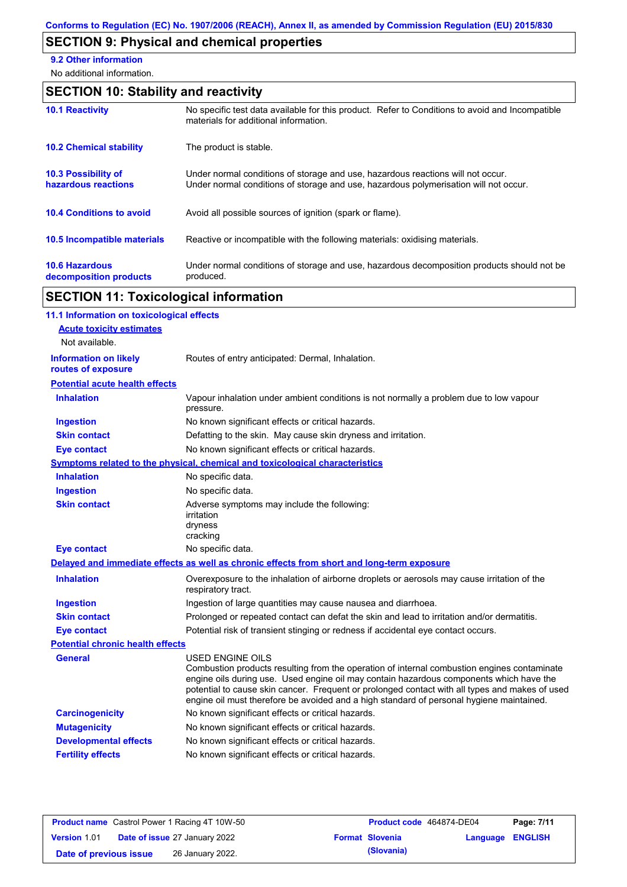# **SECTION 9: Physical and chemical properties**

**9.2 Other information**

No additional information.

# **SECTION 10: Stability and reactivity**

| <b>10.1 Reactivity</b>                            | No specific test data available for this product. Refer to Conditions to avoid and Incompatible<br>materials for additional information.                                |
|---------------------------------------------------|-------------------------------------------------------------------------------------------------------------------------------------------------------------------------|
| <b>10.2 Chemical stability</b>                    | The product is stable.                                                                                                                                                  |
| <b>10.3 Possibility of</b><br>hazardous reactions | Under normal conditions of storage and use, hazardous reactions will not occur.<br>Under normal conditions of storage and use, hazardous polymerisation will not occur. |
| <b>10.4 Conditions to avoid</b>                   | Avoid all possible sources of ignition (spark or flame).                                                                                                                |
| <b>10.5 Incompatible materials</b>                | Reactive or incompatible with the following materials: oxidising materials.                                                                                             |
| <b>10.6 Hazardous</b><br>decomposition products   | Under normal conditions of storage and use, hazardous decomposition products should not be<br>produced.                                                                 |

# **SECTION 11: Toxicological information**

| 11.1 Information on toxicological effects          |                                                                                                                                                                                                                                                                                                                                                                                                          |
|----------------------------------------------------|----------------------------------------------------------------------------------------------------------------------------------------------------------------------------------------------------------------------------------------------------------------------------------------------------------------------------------------------------------------------------------------------------------|
| <b>Acute toxicity estimates</b>                    |                                                                                                                                                                                                                                                                                                                                                                                                          |
| Not available.                                     |                                                                                                                                                                                                                                                                                                                                                                                                          |
| <b>Information on likely</b><br>routes of exposure | Routes of entry anticipated: Dermal, Inhalation.                                                                                                                                                                                                                                                                                                                                                         |
| <b>Potential acute health effects</b>              |                                                                                                                                                                                                                                                                                                                                                                                                          |
| <b>Inhalation</b>                                  | Vapour inhalation under ambient conditions is not normally a problem due to low vapour<br>pressure.                                                                                                                                                                                                                                                                                                      |
| <b>Ingestion</b>                                   | No known significant effects or critical hazards.                                                                                                                                                                                                                                                                                                                                                        |
| <b>Skin contact</b>                                | Defatting to the skin. May cause skin dryness and irritation.                                                                                                                                                                                                                                                                                                                                            |
| <b>Eye contact</b>                                 | No known significant effects or critical hazards.                                                                                                                                                                                                                                                                                                                                                        |
|                                                    | Symptoms related to the physical, chemical and toxicological characteristics                                                                                                                                                                                                                                                                                                                             |
| <b>Inhalation</b>                                  | No specific data.                                                                                                                                                                                                                                                                                                                                                                                        |
| <b>Ingestion</b>                                   | No specific data.                                                                                                                                                                                                                                                                                                                                                                                        |
| <b>Skin contact</b>                                | Adverse symptoms may include the following:<br>irritation<br>dryness<br>cracking                                                                                                                                                                                                                                                                                                                         |
| <b>Eye contact</b>                                 | No specific data.                                                                                                                                                                                                                                                                                                                                                                                        |
|                                                    | Delayed and immediate effects as well as chronic effects from short and long-term exposure                                                                                                                                                                                                                                                                                                               |
| <b>Inhalation</b>                                  | Overexposure to the inhalation of airborne droplets or aerosols may cause irritation of the<br>respiratory tract.                                                                                                                                                                                                                                                                                        |
| <b>Ingestion</b>                                   | Ingestion of large quantities may cause nausea and diarrhoea.                                                                                                                                                                                                                                                                                                                                            |
| <b>Skin contact</b>                                | Prolonged or repeated contact can defat the skin and lead to irritation and/or dermatitis.                                                                                                                                                                                                                                                                                                               |
| <b>Eye contact</b>                                 | Potential risk of transient stinging or redness if accidental eye contact occurs.                                                                                                                                                                                                                                                                                                                        |
| <b>Potential chronic health effects</b>            |                                                                                                                                                                                                                                                                                                                                                                                                          |
| General                                            | USED ENGINE OILS<br>Combustion products resulting from the operation of internal combustion engines contaminate<br>engine oils during use. Used engine oil may contain hazardous components which have the<br>potential to cause skin cancer. Frequent or prolonged contact with all types and makes of used<br>engine oil must therefore be avoided and a high standard of personal hygiene maintained. |
| <b>Carcinogenicity</b>                             | No known significant effects or critical hazards.                                                                                                                                                                                                                                                                                                                                                        |
| <b>Mutagenicity</b>                                | No known significant effects or critical hazards.                                                                                                                                                                                                                                                                                                                                                        |
| <b>Developmental effects</b>                       | No known significant effects or critical hazards.                                                                                                                                                                                                                                                                                                                                                        |
| <b>Fertility effects</b>                           | No known significant effects or critical hazards.                                                                                                                                                                                                                                                                                                                                                        |
|                                                    |                                                                                                                                                                                                                                                                                                                                                                                                          |

|                        | <b>Product name</b> Castrol Power 1 Racing 4T 10W-50 | Product code 464874-DE04 |                         | Page: 7/11 |
|------------------------|------------------------------------------------------|--------------------------|-------------------------|------------|
| <b>Version 1.01</b>    | <b>Date of issue 27 January 2022</b>                 | <b>Format Slovenia</b>   | <b>Language ENGLISH</b> |            |
| Date of previous issue | 26 January 2022.                                     | (Slovania)               |                         |            |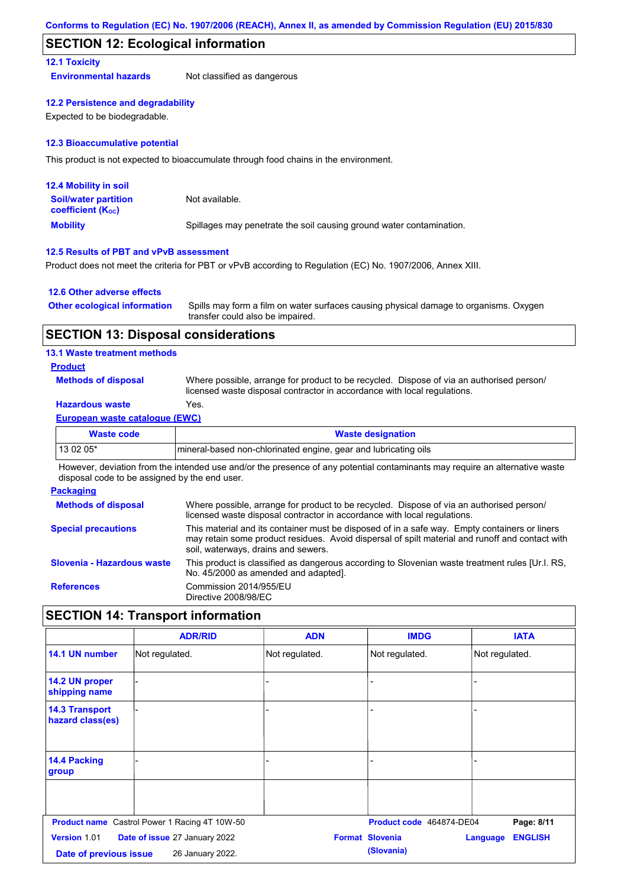### **SECTION 12: Ecological information**

### **12.1 Toxicity**

**Environmental hazards** Not classified as dangerous

### **12.2 Persistence and degradability**

Expected to be biodegradable.

### **12.3 Bioaccumulative potential**

This product is not expected to bioaccumulate through food chains in the environment.

| <b>12.4 Mobility in soil</b>                                  |                                                                      |
|---------------------------------------------------------------|----------------------------------------------------------------------|
| <b>Soil/water partition</b><br>coefficient (K <sub>oc</sub> ) | Not available.                                                       |
| <b>Mobility</b>                                               | Spillages may penetrate the soil causing ground water contamination. |

### **12.5 Results of PBT and vPvB assessment**

Product does not meet the criteria for PBT or vPvB according to Regulation (EC) No. 1907/2006, Annex XIII.

### **12.6 Other adverse effects**

| <b>Other ecological information</b> | Spills may form a film on water surfaces causing physical damage to organisms. Oxygen |
|-------------------------------------|---------------------------------------------------------------------------------------|
|                                     | transfer could also be impaired.                                                      |

### **SECTION 13: Disposal considerations**

### **13.1 Waste treatment methods**

### **Product**

**Methods of disposal**

Where possible, arrange for product to be recycled. Dispose of via an authorised person/ licensed waste disposal contractor in accordance with local regulations.

### **Hazardous waste** Yes.

### **European waste catalogue (EWC)**

| Waste code | <b>Waste designation</b>                                         |
|------------|------------------------------------------------------------------|
| 13 02 05*  | Imineral-based non-chlorinated engine, gear and lubricating oils |

However, deviation from the intended use and/or the presence of any potential contaminants may require an alternative waste disposal code to be assigned by the end user.

### **Packaging**

| <b>Methods of disposal</b> | Where possible, arrange for product to be recycled. Dispose of via an authorised person/<br>licensed waste disposal contractor in accordance with local regulations.                                                                    |
|----------------------------|-----------------------------------------------------------------------------------------------------------------------------------------------------------------------------------------------------------------------------------------|
| <b>Special precautions</b> | This material and its container must be disposed of in a safe way. Empty containers or liners<br>may retain some product residues. Avoid dispersal of spilt material and runoff and contact with<br>soil, waterways, drains and sewers. |
| Slovenia - Hazardous waste | This product is classified as dangerous according to Slovenian waste treatment rules [Ur.l. RS.<br>No. 45/2000 as amended and adapted].                                                                                                 |
| <b>References</b>          | Commission 2014/955/EU<br>Directive 2008/98/EC                                                                                                                                                                                          |

## **SECTION 14: Transport information**

|                                           | <b>ADR/RID</b>                                       | <b>ADN</b>     | <b>IMDG</b>              | <b>IATA</b>                       |
|-------------------------------------------|------------------------------------------------------|----------------|--------------------------|-----------------------------------|
| 14.1 UN number                            | Not regulated.                                       | Not regulated. | Not regulated.           | Not regulated.                    |
| 14.2 UN proper<br>shipping name           |                                                      |                |                          |                                   |
| <b>14.3 Transport</b><br>hazard class(es) |                                                      |                |                          |                                   |
| 14.4 Packing<br>group                     |                                                      |                |                          |                                   |
|                                           |                                                      |                |                          |                                   |
|                                           | <b>Product name</b> Castrol Power 1 Racing 4T 10W-50 |                | Product code 464874-DE04 | Page: 8/11                        |
| Version 1.01                              | Date of issue 27 January 2022                        |                | <b>Format Slovenia</b>   | <b>ENGLISH</b><br><b>Language</b> |
| Date of previous issue                    | 26 January 2022.                                     |                | (Slovania)               |                                   |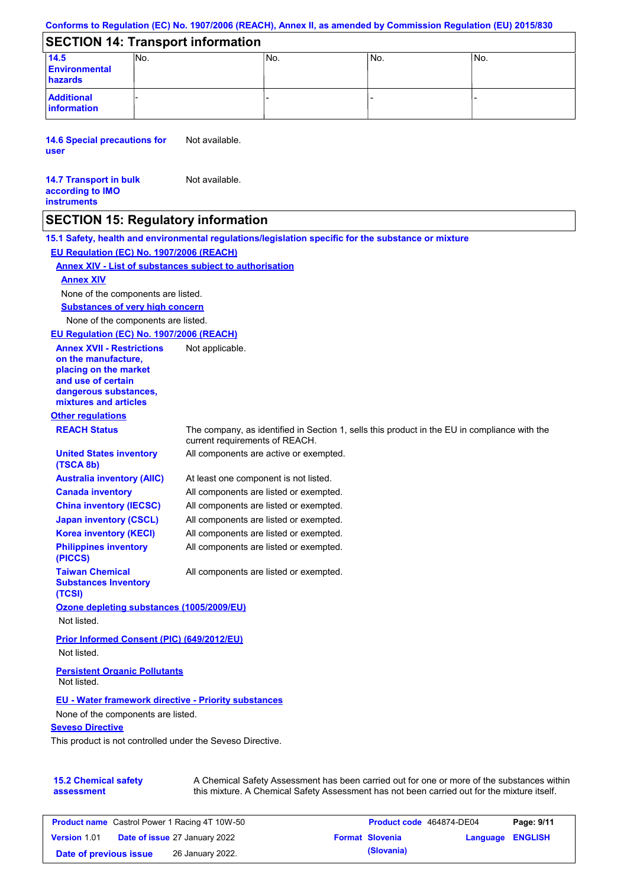### **Conforms to Regulation (EC) No. 1907/2006 (REACH), Annex II, as amended by Commission Regulation (EU) 2015/830**

### **SECTION 14: Transport information**

| 14.5<br><b>Environmental</b><br>hazards | INO. | 'No. | ۱No. | No. |
|-----------------------------------------|------|------|------|-----|
| <b>Additional</b><br>information        |      |      |      |     |

**14.6 Special precautions for user** Not available.

#### **14.7 Transport in bulk according to IMO instruments** Not available.

### **SECTION 15: Regulatory information**

**15.1 Safety, health and environmental regulations/legislation specific for the substance or mixture**

**EU Regulation (EC) No. 1907/2006 (REACH)**

### **Annex XIV - List of substances subject to authorisation**

### **Annex XIV**

None of the components are listed.

**Substances of very high concern**

None of the components are listed.

#### **EU Regulation (EC) No. 1907/2006 (REACH)**

**Other regulations REACH Status** The company, as identified in Section 1, sells this product in the EU in compliance with the current requirements of REACH. At least one component is not listed. All components are listed or exempted. All components are listed or exempted. All components are listed or exempted. All components are active or exempted. All components are listed or exempted. All components are listed or exempted. **United States inventory (TSCA 8b) Australia inventory (AIIC) Canada inventory China inventory (IECSC) Japan inventory (CSCL) Korea inventory (KECI) Philippines inventory (PICCS) Taiwan Chemical Substances Inventory (TCSI)** All components are listed or exempted. **Ozone depleting substances (1005/2009/EU)** Not listed. **Prior Informed Consent (PIC) (649/2012/EU)** Not listed. **Seveso Directive EU - Water framework directive - Priority substances** None of the components are listed. **Annex XVII - Restrictions on the manufacture, placing on the market and use of certain dangerous substances, mixtures and articles** Not applicable. **Persistent Organic Pollutants** Not listed.

This product is not controlled under the Seveso Directive.

| <b>15.2 Chemical safety</b> | A Chemical Safety Assessment has been carried out for one or more of the substances within  |
|-----------------------------|---------------------------------------------------------------------------------------------|
| assessment                  | this mixture. A Chemical Safety Assessment has not been carried out for the mixture itself. |

| <b>Product name</b> Castrol Power 1 Racing 4T 10W-50 |  | Product code 464874-DE04             |  | Page: 9/11             |                         |  |
|------------------------------------------------------|--|--------------------------------------|--|------------------------|-------------------------|--|
| <b>Version 1.01</b>                                  |  | <b>Date of issue 27 January 2022</b> |  | <b>Format Slovenia</b> | <b>Language ENGLISH</b> |  |
| Date of previous issue                               |  | 26 January 2022.                     |  | (Slovania)             |                         |  |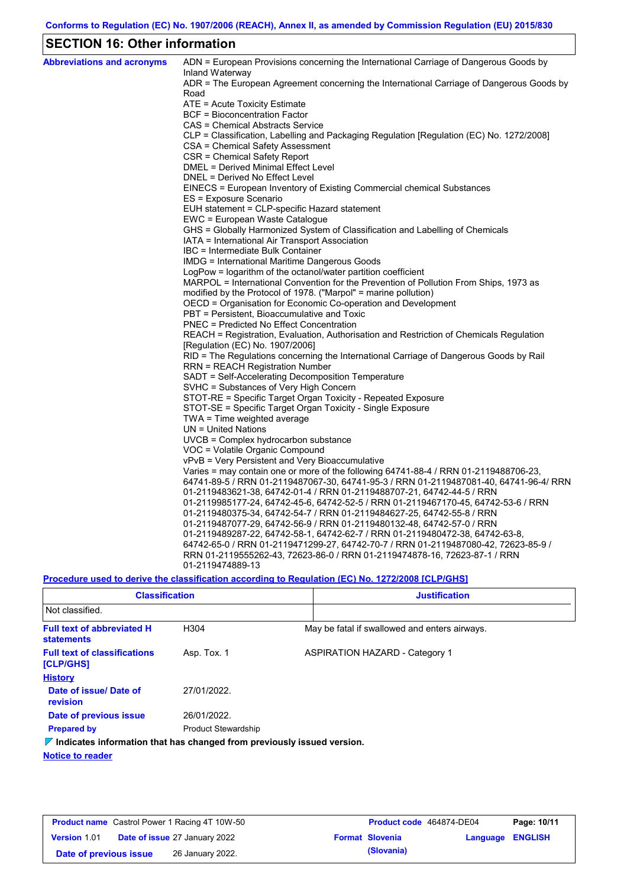# **SECTION 16: Other information**

| <b>Abbreviations and acronyms</b> | ADN = European Provisions concerning the International Carriage of Dangerous Goods by<br>Inland Waterway |
|-----------------------------------|----------------------------------------------------------------------------------------------------------|
|                                   | ADR = The European Agreement concerning the International Carriage of Dangerous Goods by<br>Road         |
|                                   | ATE = Acute Toxicity Estimate                                                                            |
|                                   | <b>BCF</b> = Bioconcentration Factor                                                                     |
|                                   | CAS = Chemical Abstracts Service                                                                         |
|                                   | CLP = Classification, Labelling and Packaging Regulation [Regulation (EC) No. 1272/2008]                 |
|                                   | CSA = Chemical Safety Assessment                                                                         |
|                                   | CSR = Chemical Safety Report                                                                             |
|                                   | <b>DMEL = Derived Minimal Effect Level</b>                                                               |
|                                   | DNEL = Derived No Effect Level                                                                           |
|                                   | EINECS = European Inventory of Existing Commercial chemical Substances                                   |
|                                   | ES = Exposure Scenario                                                                                   |
|                                   | EUH statement = CLP-specific Hazard statement                                                            |
|                                   | EWC = European Waste Catalogue                                                                           |
|                                   | GHS = Globally Harmonized System of Classification and Labelling of Chemicals                            |
|                                   | IATA = International Air Transport Association                                                           |
|                                   | IBC = Intermediate Bulk Container                                                                        |
|                                   | IMDG = International Maritime Dangerous Goods                                                            |
|                                   | LogPow = logarithm of the octanol/water partition coefficient                                            |
|                                   | MARPOL = International Convention for the Prevention of Pollution From Ships, 1973 as                    |
|                                   | modified by the Protocol of 1978. ("Marpol" = marine pollution)                                          |
|                                   | OECD = Organisation for Economic Co-operation and Development                                            |
|                                   | PBT = Persistent, Bioaccumulative and Toxic                                                              |
|                                   | <b>PNEC</b> = Predicted No Effect Concentration                                                          |
|                                   | REACH = Registration, Evaluation, Authorisation and Restriction of Chemicals Regulation                  |
|                                   | [Regulation (EC) No. 1907/2006]                                                                          |
|                                   | RID = The Regulations concerning the International Carriage of Dangerous Goods by Rail                   |
|                                   | <b>RRN = REACH Registration Number</b><br>SADT = Self-Accelerating Decomposition Temperature             |
|                                   | SVHC = Substances of Very High Concern                                                                   |
|                                   | STOT-RE = Specific Target Organ Toxicity - Repeated Exposure                                             |
|                                   | STOT-SE = Specific Target Organ Toxicity - Single Exposure                                               |
|                                   | TWA = Time weighted average                                                                              |
|                                   | $UN = United Nations$                                                                                    |
|                                   | $UVCB = Complex\;hydrocarbon\; substance$                                                                |
|                                   | VOC = Volatile Organic Compound                                                                          |
|                                   | vPvB = Very Persistent and Very Bioaccumulative                                                          |
|                                   | Varies = may contain one or more of the following $64741-88-4$ / RRN 01-2119488706-23,                   |
|                                   | 64741-89-5 / RRN 01-2119487067-30, 64741-95-3 / RRN 01-2119487081-40, 64741-96-4/ RRN                    |
|                                   | 01-2119483621-38, 64742-01-4 / RRN 01-2119488707-21, 64742-44-5 / RRN                                    |
|                                   | 01-2119985177-24, 64742-45-6, 64742-52-5 / RRN 01-2119467170-45, 64742-53-6 / RRN                        |
|                                   | 01-2119480375-34, 64742-54-7 / RRN 01-2119484627-25, 64742-55-8 / RRN                                    |
|                                   | 01-2119487077-29, 64742-56-9 / RRN 01-2119480132-48, 64742-57-0 / RRN                                    |
|                                   | 01-2119489287-22, 64742-58-1, 64742-62-7 / RRN 01-2119480472-38, 64742-63-8,                             |
|                                   | 64742-65-0 / RRN 01-2119471299-27, 64742-70-7 / RRN 01-2119487080-42, 72623-85-9 /                       |
|                                   | RRN 01-2119555262-43, 72623-86-0 / RRN 01-2119474878-16, 72623-87-1 / RRN                                |
|                                   | 01-2119474889-13                                                                                         |
|                                   |                                                                                                          |

**Procedure used to derive the classification according to Regulation (EC) No. 1272/2008 [CLP/GHS]**

| <b>Classification</b>                                                           |                            | <b>Justification</b> |                                               |  |  |
|---------------------------------------------------------------------------------|----------------------------|----------------------|-----------------------------------------------|--|--|
| Not classified.                                                                 |                            |                      |                                               |  |  |
| <b>Full text of abbreviated H</b><br><b>statements</b>                          | H <sub>304</sub>           |                      | May be fatal if swallowed and enters airways. |  |  |
| <b>Full text of classifications</b><br><b>[CLP/GHS]</b>                         | Asp. Tox. 1                |                      | <b>ASPIRATION HAZARD - Category 1</b>         |  |  |
| <b>History</b>                                                                  |                            |                      |                                               |  |  |
| Date of issue/Date of<br>revision                                               | 27/01/2022.                |                      |                                               |  |  |
| Date of previous issue                                                          | 26/01/2022.                |                      |                                               |  |  |
| <b>Prepared by</b>                                                              | <b>Product Stewardship</b> |                      |                                               |  |  |
| $\nabla$ Indicates information that has changed from previously issued version. |                            |                      |                                               |  |  |

**Notice to reader**

| <b>Product name</b> Castrol Power 1 Racing 4T 10W-50 |  | Product code 464874-DE04             |  | Page: 10/11            |                  |  |
|------------------------------------------------------|--|--------------------------------------|--|------------------------|------------------|--|
| Version 1.01                                         |  | <b>Date of issue 27 January 2022</b> |  | <b>Format Slovenia</b> | Language ENGLISH |  |
| Date of previous issue                               |  | 26 January 2022.                     |  | (Slovania)             |                  |  |